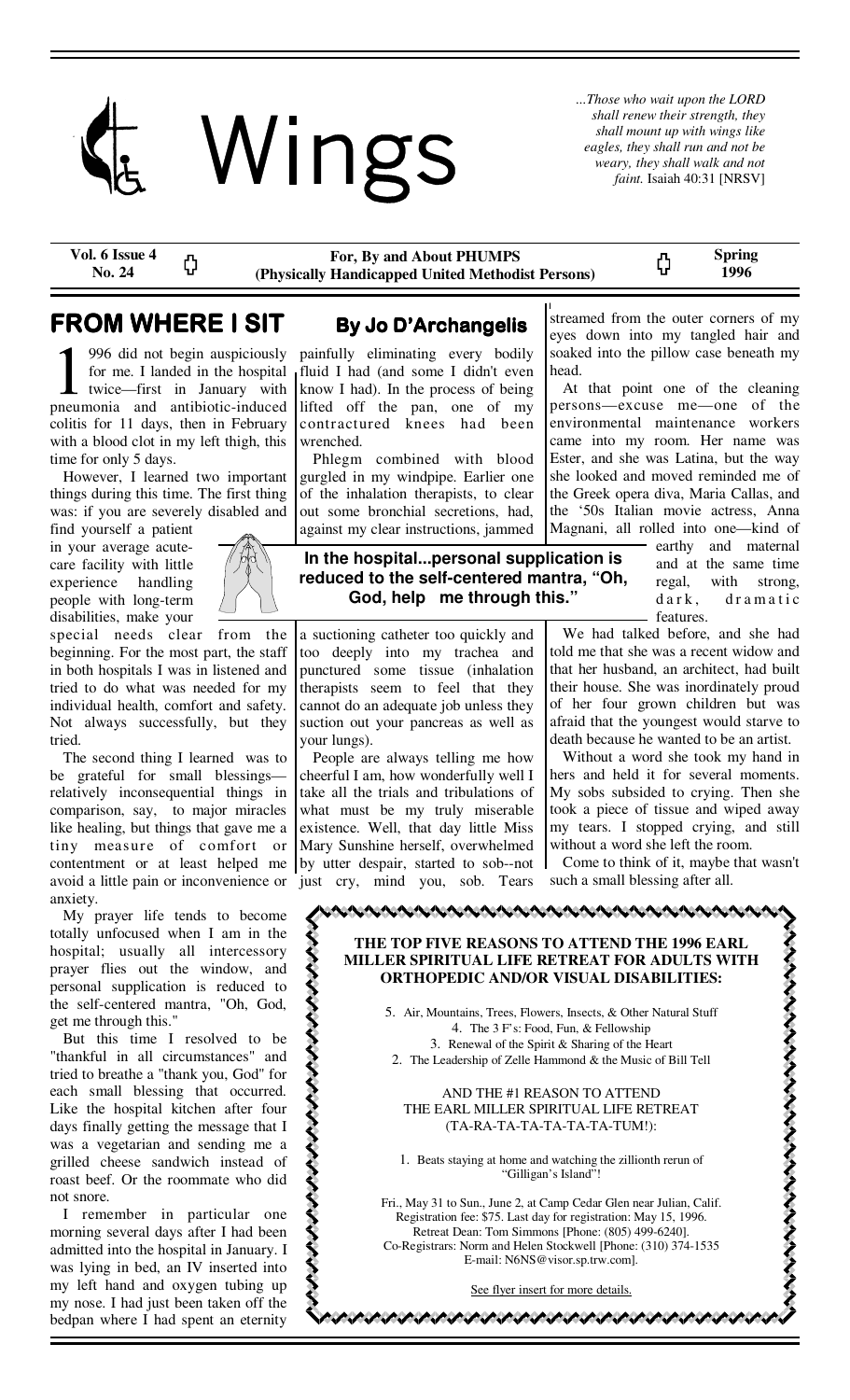

*...Those who wait upon the LORD shall renew their strength, they shall mount up with wings like eagles, they shall run and not be weary, they shall walk and not faint.* Isaiah 40:31 [NRSV]

**Vol. 6 Issue 4 No. 24** 

**For, By and About PHUMPS (Physically Handicapped United Methodist Persons)**  **Spring 1996** 

# **FROM WHERE I SIT By Jo D'Archangelis**

ረጋ

996 did not begin auspiciously for me. I landed in the hospital twice—first in January with pneumonia and antibiotic-induced colitis for 11 days, then in February with a blood clot in my left thigh, this time for only 5 days.

 However, I learned two important things during this time. The first thing was: if you are severely disabled and

find yourself a patient in your average acutecare facility with little experience handling people with long-term disabilities, make your



special needs clear from the beginning. For the most part, the staff in both hospitals I was in listened and tried to do what was needed for my individual health, comfort and safety. Not always successfully, but they tried.

 The second thing I learned was to be grateful for small blessings relatively inconsequential things in comparison, say, to major miracles like healing, but things that gave me a tiny measure of comfort or contentment or at least helped me avoid a little pain or inconvenience or anxiety.

 My prayer life tends to become totally unfocused when I am in the hospital; usually all intercessory prayer flies out the window, and personal supplication is reduced to the self-centered mantra, "Oh, God, get me through this."

 But this time I resolved to be "thankful in all circumstances" and tried to breathe a "thank you, God" for each small blessing that occurred. Like the hospital kitchen after four days finally getting the message that I was a vegetarian and sending me a grilled cheese sandwich instead of roast beef. Or the roommate who did not snore.

 I remember in particular one morning several days after I had been admitted into the hospital in January. I was lying in bed, an IV inserted into my left hand and oxygen tubing up my nose. I had just been taken off the bedpan where I had spent an eternity

painfully eliminating every bodily fluid I had (and some I didn't even know I had). In the process of being lifted off the pan, one of my contractured knees had been wrenched.

 Phlegm combined with blood gurgled in my windpipe. Earlier one of the inhalation therapists, to clear out some bronchial secretions, had, against my clear instructions, jammed

# **In the hospital...personal supplication is reduced to the self-centered mantra, "Oh, God, help me through this."**

a suctioning catheter too quickly and too deeply into my trachea and punctured some tissue (inhalation therapists seem to feel that they cannot do an adequate job unless they suction out your pancreas as well as your lungs).

 People are always telling me how cheerful I am, how wonderfully well I take all the trials and tribulations of what must be my truly miserable existence. Well, that day little Miss Mary Sunshine herself, overwhelmed by utter despair, started to sob--not just cry, mind you, sob. Tears

streamed from the outer corners of my eyes down into my tangled hair and soaked into the pillow case beneath my head.

ς,

 At that point one of the cleaning persons—excuse me—one of the environmental maintenance workers came into my room. Her name was Ester, and she was Latina, but the way she looked and moved reminded me of the Greek opera diva, Maria Callas, and the '50s Italian movie actress, Anna Magnani, all rolled into one—kind of

> earthy and maternal and at the same time regal, with strong, dark, dramatic features.

 We had talked before, and she had told me that she was a recent widow and that her husband, an architect, had built their house. She was inordinately proud of her four grown children but was afraid that the youngest would starve to death because he wanted to be an artist.

 Without a word she took my hand in hers and held it for several moments. My sobs subsided to crying. Then she took a piece of tissue and wiped away my tears. I stopped crying, and still without a word she left the room.

 Come to think of it, maybe that wasn't such a small blessing after all.

とそそそそそそそそそそそそそそそそそそそそそ

# **THE TOP FIVE REASONS TO ATTEND THE 1996 EARL MILLER SPIRITUAL LIFE RETREAT FOR ADULTS WITH ORTHOPEDIC AND/OR VISUAL DISABILITIES:**

5. Air, Mountains, Trees, Flowers, Insects, & Other Natural Stuff 4. The 3 F's: Food, Fun, & Fellowship 3. Renewal of the Spirit & Sharing of the Heart 2. The Leadership of Zelle Hammond & the Music of Bill Tell

## AND THE #1 REASON TO ATTEND THE EARL MILLER SPIRITUAL LIFE RETREAT (TA-RA-TA-TA-TA-TA-TA-TUM!):

1. Beats staying at home and watching the zillionth rerun of "Gilligan's Island"!

Fri., May 31 to Sun., June 2, at Camp Cedar Glen near Julian, Calif. Registration fee: \$75. Last day for registration: May 15, 1996. Retreat Dean: Tom Simmons [Phone: (805) 499-6240]. Co-Registrars: Norm and Helen Stockwell [Phone: (310) 374-1535 E-mail: N6NS@visor.sp.trw.com].

See flyer insert for more details.

いいいいいいい いいいいい いいいいい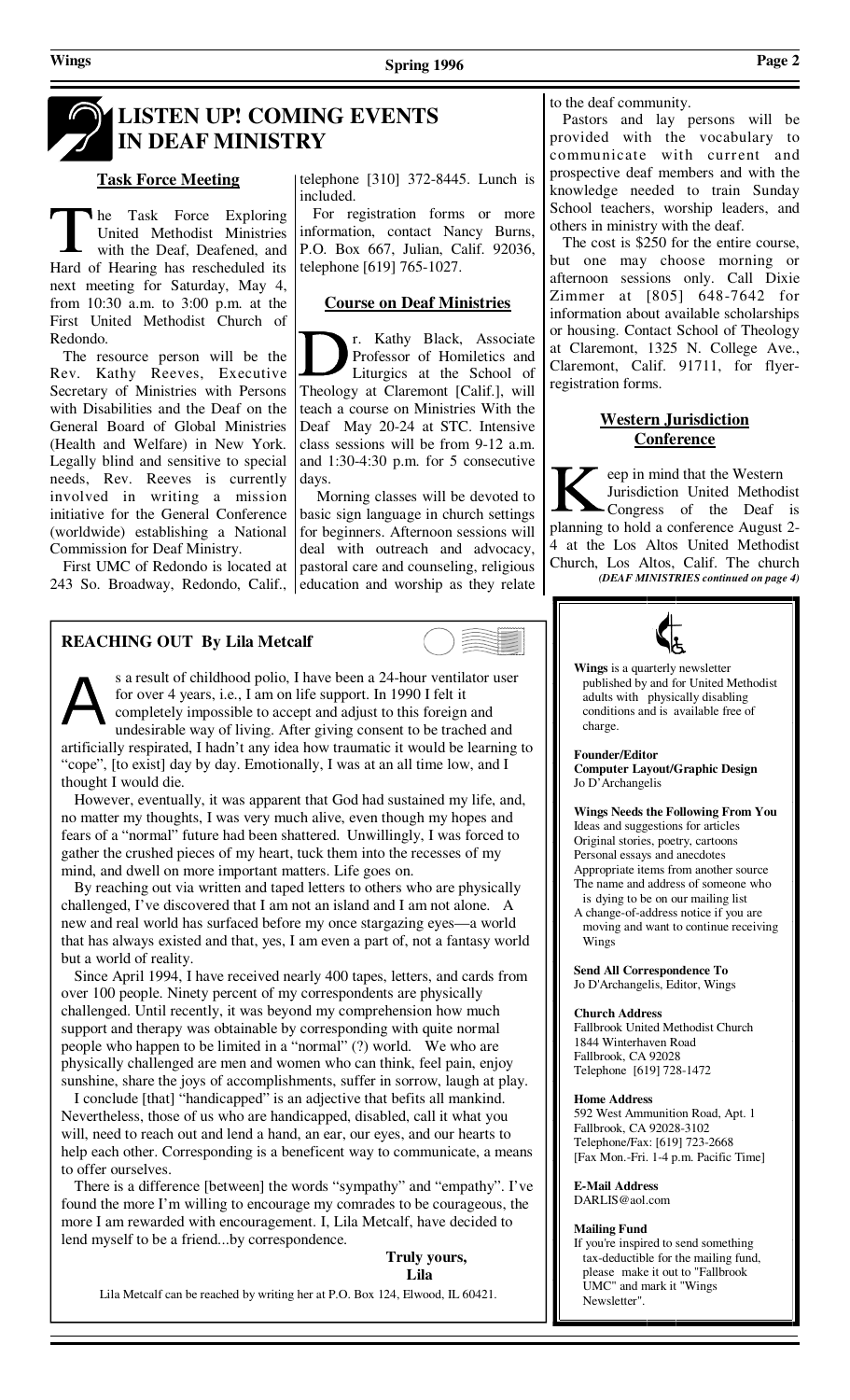telephone [310] 372-8445. Lunch is

 For registration forms or more information, contact Nancy Burns, P.O. Box 667, Julian, Calif. 92036,

**Course on Deaf Ministries**

Theology at Claremont [Calif.], will teach a course on Ministries With the Deaf May 20-24 at STC. Intensive class sessions will be from 9-12 a.m. and 1:30-4:30 p.m. for 5 consecutive

 Morning classes will be devoted to basic sign language in church settings for beginners. Afternoon sessions will

pastoral care and counseling, religious

r. Kathy Black, Associate Professor of Homiletics and Liturgics at the School of

telephone [619] 765-1027.

## to the deaf community.

 Pastors and lay persons will be provided with the vocabulary to communicate with current and prospective deaf members and with the knowledge needed to train Sunday School teachers, worship leaders, and others in ministry with the deaf.

 The cost is \$250 for the entire course, but one may choose morning or afternoon sessions only. Call Dixie Zimmer at [805] 648-7642 for information about available scholarships or housing. Contact School of Theology at Claremont, 1325 N. College Ave., Claremont, Calif. 91711, for flyerregistration forms.

## **Western Jurisdiction Conference**

eep in mind that the Western Jurisdiction United Methodist Congress of the Deaf is planning to hold a conference August 2- 4 at the Los Altos United Methodist Church, Los Altos, Calif. The church *(DEAF MINISTRIES continued on page 4)* 

**Wings** is a quarterly newsletter

 published by and for United Methodist adults with physically disabling conditions and is available free of

**Computer Layout/Graphic Design** 

## **REACHING OUT By Lila Metcalf**

s a result of childhood polio, I have been a 24-hour ventilator user for over 4 years, i.e., I am on life support. In 1990 I felt it completely impossible to accept and adjust to this foreign and

days.

undesirable way of living. After giving consent to be trached and artificially respirated, I hadn't any idea how traumatic it would be learning to "cope", [to exist] day by day. Emotionally, I was at an all time low, and I thought I would die.

 However, eventually, it was apparent that God had sustained my life, and, no matter my thoughts, I was very much alive, even though my hopes and fears of a "normal" future had been shattered. Unwillingly, I was forced to gather the crushed pieces of my heart, tuck them into the recesses of my mind, and dwell on more important matters. Life goes on.

 By reaching out via written and taped letters to others who are physically challenged, I've discovered that I am not an island and I am not alone. A new and real world has surfaced before my once stargazing eyes—a world that has always existed and that, yes, I am even a part of, not a fantasy world but a world of reality.

 Since April 1994, I have received nearly 400 tapes, letters, and cards from over 100 people. Ninety percent of my correspondents are physically challenged. Until recently, it was beyond my comprehension how much support and therapy was obtainable by corresponding with quite normal people who happen to be limited in a "normal" (?) world. We who are physically challenged are men and women who can think, feel pain, enjoy sunshine, share the joys of accomplishments, suffer in sorrow, laugh at play.

 I conclude [that] "handicapped" is an adjective that befits all mankind. Nevertheless, those of us who are handicapped, disabled, call it what you will, need to reach out and lend a hand, an ear, our eyes, and our hearts to help each other. Corresponding is a beneficent way to communicate, a means to offer ourselves.

 There is a difference [between] the words "sympathy" and "empathy". I've found the more I'm willing to encourage my comrades to be courageous, the more I am rewarded with encouragement. I, Lila Metcalf, have decided to lend myself to be a friend...by correspondence.

 **Truly yours, Lila** 

Lila Metcalf can be reached by writing her at P.O. Box 124, Elwood, IL 60421.

### Commission for Deaf Ministry. deal with outreach and advocacy,

 First UMC of Redondo is located at 243 So. Broadway, Redondo, Calif., education and worship as they relate

**Task Force Meeting**

Hard of Hearing has rescheduled its next meeting for Saturday, May 4, from 10:30 a.m. to 3:00 p.m. at the First United Methodist Church of

 The resource person will be the Rev. Kathy Reeves, Executive Secretary of Ministries with Persons with Disabilities and the Deaf on the General Board of Global Ministries (Health and Welfare) in New York. Legally blind and sensitive to special needs, Rev. Reeves is currently involved in writing a mission initiative for the General Conference (worldwide) establishing a National

he Task Force Exploring United Methodist Ministries with the Deaf, Deafened, and



charge.

**Founder/Editor** 

Original stories, poetry, cartoons Personal essays and anecdotes Appropriate items from another source The name and address of someone who is dying to be on our mailing list

A change-of-address notice if you are moving and want to continue receiving Wings

**Send All Correspondence To**  Jo D'Archangelis, Editor, Wings

### **Church Address**

Fallbrook United Methodist Church 1844 Winterhaven Road Fallbrook, CA 92028 Telephone [619] 728-1472

### **Home Address**

592 West Ammunition Road, Apt. 1 Fallbrook, CA 92028-3102 Telephone/Fax: [619] 723-2668 [Fax Mon.-Fri. 1-4 p.m. Pacific Time]

### **E-Mail Address**

DARLIS@aol.com

### **Mailing Fund**

If you're inspired to send something tax-deductible for the mailing fund, please make it out to "Fallbrook UMC" and mark it "Wings Newsletter".

# **LISTEN UP! COMING EVENTS IN DEAF MINISTRY**

included.

Redondo.

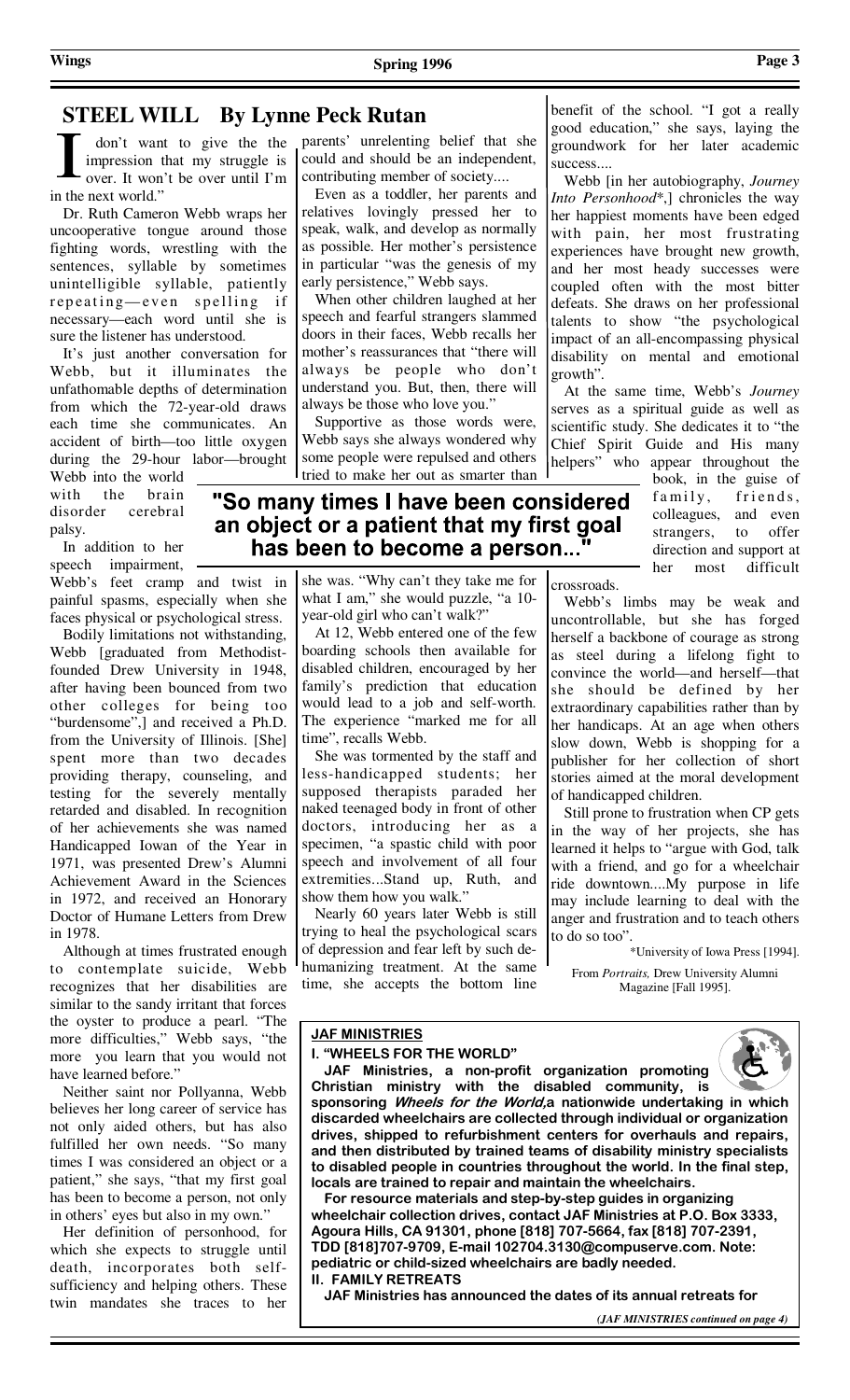# **STEEL WILL By Lynne Peck Rutan**

 don't want to give the the impression that my struggle is over. It won't be over until I'm in the next world."

 Dr. Ruth Cameron Webb wraps her uncooperative tongue around those fighting words, wrestling with the sentences, syllable by sometimes unintelligible syllable, patiently repeating—even spelling if necessary—each word until she is sure the listener has understood.

 It's just another conversation for Webb, but it illuminates the unfathomable depths of determination from which the 72-year-old draws each time she communicates. An accident of birth—too little oxygen during the 29-hour labor—brought

Webb into the world with the brain disorder cerebral palsy.

 In addition to her speech impairment, Webb's feet cramp and twist in

painful spasms, especially when she faces physical or psychological stress.

 Bodily limitations not withstanding, Webb [graduated from Methodistfounded Drew University in 1948, after having been bounced from two other colleges for being too "burdensome",] and received a Ph.D. from the University of Illinois. [She] spent more than two decades providing therapy, counseling, and testing for the severely mentally retarded and disabled. In recognition of her achievements she was named Handicapped Iowan of the Year in 1971, was presented Drew's Alumni Achievement Award in the Sciences in 1972, and received an Honorary Doctor of Humane Letters from Drew in 1978.

 Although at times frustrated enough to contemplate suicide, Webb recognizes that her disabilities are similar to the sandy irritant that forces the oyster to produce a pearl. "The more difficulties," Webb says, "the more you learn that you would not have learned before.'

 Neither saint nor Pollyanna, Webb believes her long career of service has not only aided others, but has also fulfilled her own needs. "So many times I was considered an object or a patient," she says, "that my first goal has been to become a person, not only in others' eyes but also in my own."

 Her definition of personhood, for which she expects to struggle until death, incorporates both selfsufficiency and helping others. These twin mandates she traces to her

parents' unrelenting belief that she could and should be an independent, contributing member of society....

 Even as a toddler, her parents and relatives lovingly pressed her to speak, walk, and develop as normally as possible. Her mother's persistence in particular "was the genesis of my early persistence," Webb says.

 When other children laughed at her speech and fearful strangers slammed doors in their faces, Webb recalls her mother's reassurances that "there will always be people who don't understand you. But, then, there will always be those who love you."

 Supportive as those words were, Webb says she always wondered why some people were repulsed and others tried to make her out as smarter than

benefit of the school. "I got a really good education," she says, laying the groundwork for her later academic success....

 Webb [in her autobiography, *Journey Into Personhood*\*,] chronicles the way her happiest moments have been edged with pain, her most frustrating experiences have brought new growth, and her most heady successes were coupled often with the most bitter defeats. She draws on her professional talents to show "the psychological impact of an all-encompassing physical disability on mental and emotional growth".

 At the same time, Webb's *Journey*  serves as a spiritual guide as well as scientific study. She dedicates it to "the Chief Spirit Guide and His many helpers" who appear throughout the

book, in the guise of family, friends, colleagues, and even strangers, to offer direction and support at her most difficult

## "So many times I have been considered an object or a patient that my first goal has been to become a person..."

she was. "Why can't they take me for what I am," she would puzzle, "a 10 year-old girl who can't walk?"

 At 12, Webb entered one of the few boarding schools then available for disabled children, encouraged by her family's prediction that education would lead to a job and self-worth. The experience "marked me for all time", recalls Webb.

 She was tormented by the staff and less-handicapped students; her supposed therapists paraded her naked teenaged body in front of other doctors, introducing her as a specimen, "a spastic child with poor speech and involvement of all four extremities...Stand up, Ruth, and show them how you walk."

 Nearly 60 years later Webb is still trying to heal the psychological scars of depression and fear left by such dehumanizing treatment. At the same time, she accepts the bottom line crossroads.

 Webb's limbs may be weak and uncontrollable, but she has forged herself a backbone of courage as strong as steel during a lifelong fight to convince the world—and herself—that she should be defined by her extraordinary capabilities rather than by her handicaps. At an age when others slow down, Webb is shopping for a publisher for her collection of short stories aimed at the moral development of handicapped children.

 Still prone to frustration when CP gets in the way of her projects, she has learned it helps to "argue with God, talk with a friend, and go for a wheelchair ride downtown....My purpose in life may include learning to deal with the anger and frustration and to teach others to do so too".

\*University of Iowa Press [1994]. From *Portraits,* Drew University Alumni Magazine [Fall 1995].

# **JAF MINISTRIES**

**I. "WHEELS FOR THE WORLD"** 

 **JAF Ministries, a non-profit organization promoting Christian ministry with the disabled community, is** 

**sponsoring Wheels for the World,a nationwide undertaking in which discarded wheelchairs are collected through individual or organization drives, shipped to refurbishment centers for overhauls and repairs, and then distributed by trained teams of disability ministry specialists to disabled people in countries throughout the world. In the final step, locals are trained to repair and maintain the wheelchairs.** 

 **For resource materials and step-by-step guides in organizing wheelchair collection drives, contact JAF Ministries at P.O. Box 3333, Agoura Hills, CA 91301, phone [818] 707-5664, fax [818] 707-2391, TDD [818]707-9709, E-mail 102704.3130@compuserve.com. Note: pediatric or child-sized wheelchairs are badly needed. II. FAMILY RETREATS** 

 **JAF Ministries has announced the dates of its annual retreats for** 

*(JAF MINISTRIES continued on page 4)*